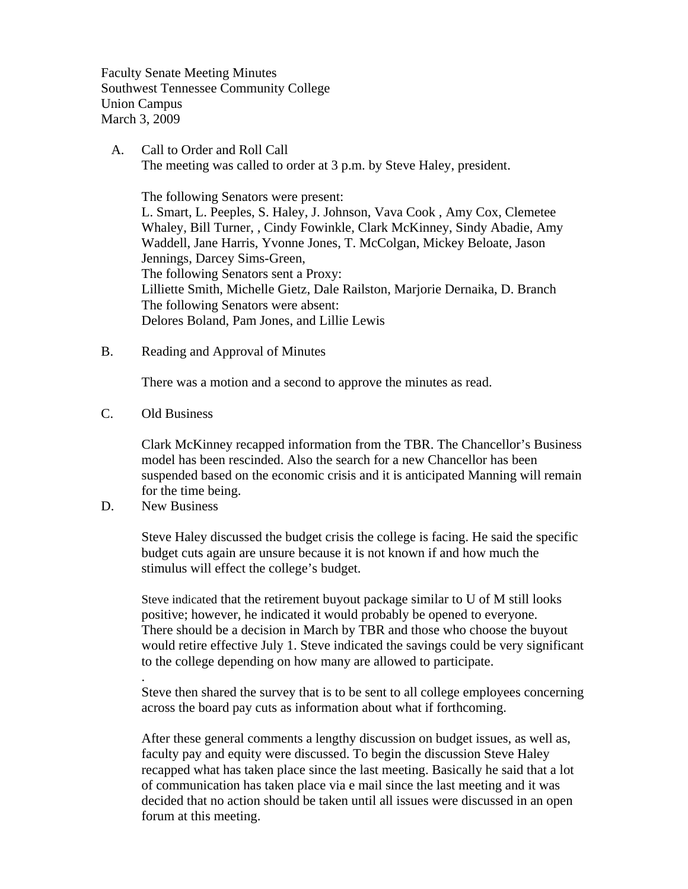Faculty Senate Meeting Minutes Southwest Tennessee Community College Union Campus March 3, 2009

 A. Call to Order and Roll Call The meeting was called to order at 3 p.m. by Steve Haley, president.

 The following Senators were present: L. Smart, L. Peeples, S. Haley, J. Johnson, Vava Cook , Amy Cox, Clemetee Whaley, Bill Turner, , Cindy Fowinkle, Clark McKinney, Sindy Abadie, Amy Waddell, Jane Harris, Yvonne Jones, T. McColgan, Mickey Beloate, Jason Jennings, Darcey Sims-Green, The following Senators sent a Proxy: Lilliette Smith, Michelle Gietz, Dale Railston, Marjorie Dernaika, D. Branch The following Senators were absent: Delores Boland, Pam Jones, and Lillie Lewis

B. Reading and Approval of Minutes

There was a motion and a second to approve the minutes as read.

C. Old Business

Clark McKinney recapped information from the TBR. The Chancellor's Business model has been rescinded. Also the search for a new Chancellor has been suspended based on the economic crisis and it is anticipated Manning will remain for the time being.

D. New Business

.

Steve Haley discussed the budget crisis the college is facing. He said the specific budget cuts again are unsure because it is not known if and how much the stimulus will effect the college's budget.

Steve indicated that the retirement buyout package similar to U of M still looks positive; however, he indicated it would probably be opened to everyone. There should be a decision in March by TBR and those who choose the buyout would retire effective July 1. Steve indicated the savings could be very significant to the college depending on how many are allowed to participate.

Steve then shared the survey that is to be sent to all college employees concerning across the board pay cuts as information about what if forthcoming.

After these general comments a lengthy discussion on budget issues, as well as, faculty pay and equity were discussed. To begin the discussion Steve Haley recapped what has taken place since the last meeting. Basically he said that a lot of communication has taken place via e mail since the last meeting and it was decided that no action should be taken until all issues were discussed in an open forum at this meeting.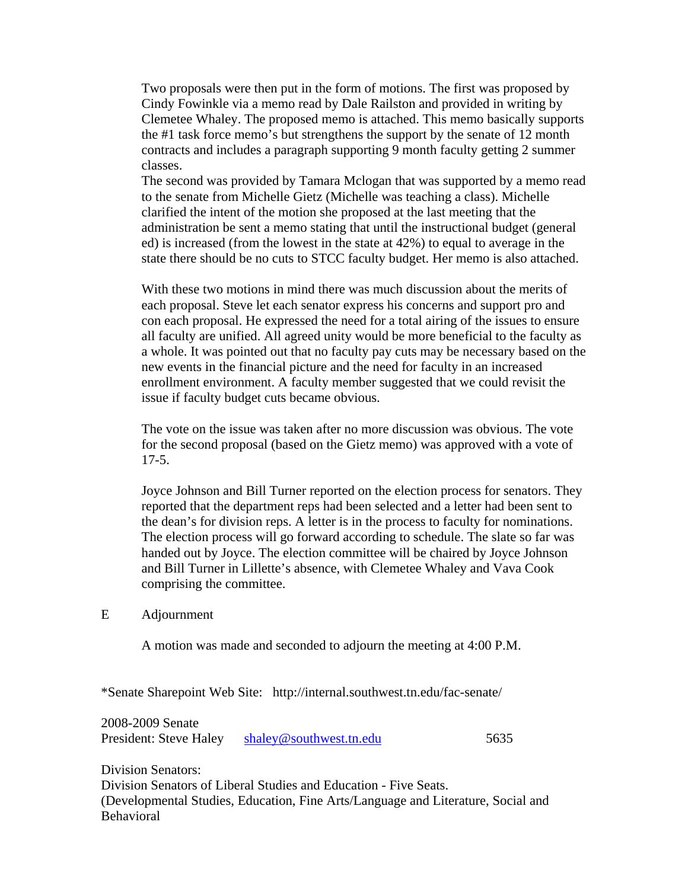Two proposals were then put in the form of motions. The first was proposed by Cindy Fowinkle via a memo read by Dale Railston and provided in writing by Clemetee Whaley. The proposed memo is attached. This memo basically supports the #1 task force memo's but strengthens the support by the senate of 12 month contracts and includes a paragraph supporting 9 month faculty getting 2 summer classes.

The second was provided by Tamara Mclogan that was supported by a memo read to the senate from Michelle Gietz (Michelle was teaching a class). Michelle clarified the intent of the motion she proposed at the last meeting that the administration be sent a memo stating that until the instructional budget (general ed) is increased (from the lowest in the state at 42%) to equal to average in the state there should be no cuts to STCC faculty budget. Her memo is also attached.

With these two motions in mind there was much discussion about the merits of each proposal. Steve let each senator express his concerns and support pro and con each proposal. He expressed the need for a total airing of the issues to ensure all faculty are unified. All agreed unity would be more beneficial to the faculty as a whole. It was pointed out that no faculty pay cuts may be necessary based on the new events in the financial picture and the need for faculty in an increased enrollment environment. A faculty member suggested that we could revisit the issue if faculty budget cuts became obvious.

The vote on the issue was taken after no more discussion was obvious. The vote for the second proposal (based on the Gietz memo) was approved with a vote of 17-5.

Joyce Johnson and Bill Turner reported on the election process for senators. They reported that the department reps had been selected and a letter had been sent to the dean's for division reps. A letter is in the process to faculty for nominations. The election process will go forward according to schedule. The slate so far was handed out by Joyce. The election committee will be chaired by Joyce Johnson and Bill Turner in Lillette's absence, with Clemetee Whaley and Vava Cook comprising the committee.

## E Adjournment

A motion was made and seconded to adjourn the meeting at 4:00 P.M.

\*Senate Sharepoint Web Site: http://internal.southwest.tn.edu/fac-senate/

2008-2009 Senate President: Steve Haley [shaley@southwest.tn.edu](mailto:shaley@southwest.tn.edu) 5635

Division Senators: Division Senators of Liberal Studies and Education - Five Seats. (Developmental Studies, Education, Fine Arts/Language and Literature, Social and Behavioral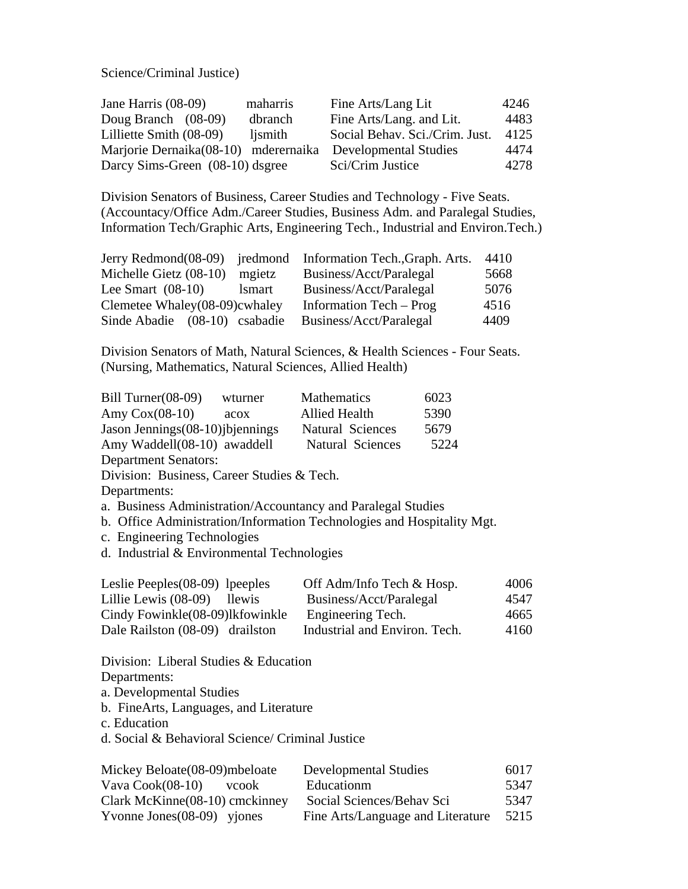Science/Criminal Justice)

| Jane Harris $(08-09)$                | maharris | Fine Arts/Lang Lit             | 4246 |
|--------------------------------------|----------|--------------------------------|------|
| Doug Branch $(08-09)$                | dbranch  | Fine Arts/Lang. and Lit.       | 4483 |
| Lilliette Smith (08-09)              | lismith  | Social Behav. Sci./Crim. Just. | 4125 |
| Marjorie Dernaika(08-10) mderernaika |          | Developmental Studies          | 4474 |
| Darcy Sims-Green (08-10) dsgree      |          | Sci/Crim Justice               | 4278 |

Division Senators of Business, Career Studies and Technology - Five Seats. (Accountacy/Office Adm./Career Studies, Business Adm. and Paralegal Studies, Information Tech/Graphic Arts, Engineering Tech., Industrial and Environ.Tech.)

|                               |               | Jerry Redmond(08-09) iredmond Information Tech., Graph. Arts. | 4410 |
|-------------------------------|---------------|---------------------------------------------------------------|------|
| Michelle Gietz (08-10)        | mgietz        | Business/Acct/Paralegal                                       | 5668 |
| Lee Smart $(08-10)$           | <i>lsmart</i> | Business/Acct/Paralegal                                       | 5076 |
| Clemetee Whaley(08-09)cwhaley |               | Information Tech – Prog                                       | 4516 |
| Sinde Abadie (08-10) csabadie |               | Business/Acct/Paralegal                                       | 4409 |

Division Senators of Math, Natural Sciences, & Health Sciences - Four Seats. (Nursing, Mathematics, Natural Sciences, Allied Health)

| Bill Turner $(08-09)$             | wturner | <b>Mathematics</b>   | 6023 |
|-----------------------------------|---------|----------------------|------|
| Amy $Cox(08-10)$                  | acox    | <b>Allied Health</b> | 5390 |
| Jason Jennings (08-10) jbjennings |         | Natural Sciences     | 5679 |
| Amy Waddell(08-10) awaddell       |         | Natural Sciences     | 5224 |
| $\mathbf{R}$ . $\mathbf{R}$ .     |         |                      |      |

Department Senators:

Division: Business, Career Studies & Tech.

Departments:

a. Business Administration/Accountancy and Paralegal Studies

b. Office Administration/Information Technologies and Hospitality Mgt.

- c. Engineering Technologies
- d. Industrial & Environmental Technologies

| Leslie Peeples $(08-09)$ lpeeples     | Off Adm/Info Tech & Hosp.     | 4006 |
|---------------------------------------|-------------------------------|------|
| Lillie Lewis (08-09)<br><b>llewis</b> | Business/Acct/Paralegal       | 4547 |
| Cindy Fowinkle (08-09)lkfowinkle      | Engineering Tech.             | 4665 |
| Dale Railston (08-09) drailston       | Industrial and Environ. Tech. | 4160 |

Division: Liberal Studies & Education

Departments:

a. Developmental Studies

b. FineArts, Languages, and Literature

c. Education

d. Social & Behavioral Science/ Criminal Justice

| Mickey Beloate (08-09) mbeloate | <b>Developmental Studies</b>      | 6017 |
|---------------------------------|-----------------------------------|------|
| Vava $Cook(08-10)$<br>vcook     | Educationm                        | 5347 |
| Clark McKinne(08-10) cmckinney  | Social Sciences/Behav Sci         | 5347 |
| Yvonne Jones $(08-09)$ yjones   | Fine Arts/Language and Literature | 5215 |